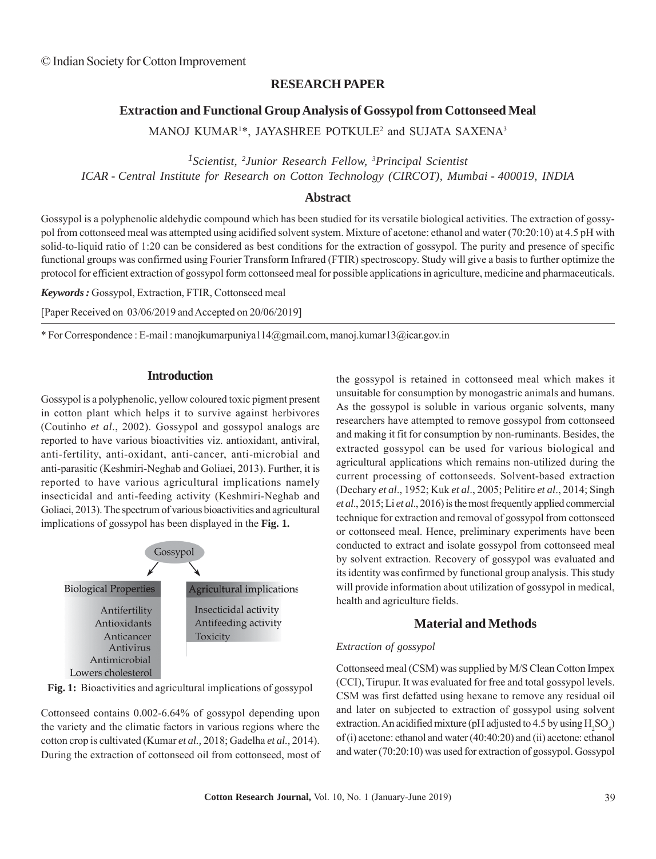### **RESEARCH PAPER**

# **Extraction and Functional Group Analysis of Gossypol from Cottonseed Meal**

MANOJ KUMAR<sup>1\*</sup>, JAYASHREE POTKULE<sup>2</sup> and SUJATA SAXENA<sup>3</sup>

*1Scientist, 2 Junior Research Fellow, 3 Principal Scientist ICAR - Central Institute for Research on Cotton Technology (CIRCOT), Mumbai - 400019, INDIA*

### **Abstract**

Gossypol is a polyphenolic aldehydic compound which has been studied for its versatile biological activities. The extraction of gossypol from cottonseed meal was attempted using acidified solvent system. Mixture of acetone: ethanol and water (70:20:10) at 4.5 pH with solid-to-liquid ratio of 1:20 can be considered as best conditions for the extraction of gossypol. The purity and presence of specific functional groups was confirmed using Fourier Transform Infrared (FTIR) spectroscopy. Study will give a basis to further optimize the protocol for efficient extraction of gossypol form cottonseed meal for possible applications in agriculture, medicine and pharmaceuticals.

*Keywords :* Gossypol, Extraction, FTIR, Cottonseed meal

[Paper Received on 03/06/2019 and Accepted on 20/06/2019]

\* For Correspondence : E-mail : manojkumarpuniya114@gmail.com, manoj.kumar13@icar.gov.in

### **Introduction**

Gossypol is a polyphenolic, yellow coloured toxic pigment present in cotton plant which helps it to survive against herbivores (Coutinho *et al*., 2002). Gossypol and gossypol analogs are reported to have various bioactivities viz. antioxidant, antiviral, anti-fertility, anti-oxidant, anti-cancer, anti-microbial and anti-parasitic (Keshmiri-Neghab and Goliaei, 2013). Further, it is reported to have various agricultural implications namely insecticidal and anti-feeding activity (Keshmiri-Neghab and Goliaei, 2013). The spectrum of various bioactivities and agricultural implications of gossypol has been displayed in the **Fig. 1.**



**Fig. 1:** Bioactivities and agricultural implications of gossypol

Cottonseed contains 0.002-6.64% of gossypol depending upon the variety and the climatic factors in various regions where the cotton crop is cultivated (Kumar *et al.,* 2018; Gadelha *et al.,* 2014). During the extraction of cottonseed oil from cottonseed, most of the gossypol is retained in cottonseed meal which makes it unsuitable for consumption by monogastric animals and humans. As the gossypol is soluble in various organic solvents, many researchers have attempted to remove gossypol from cottonseed and making it fit for consumption by non-ruminants. Besides, the extracted gossypol can be used for various biological and agricultural applications which remains non-utilized during the current processing of cottonseeds. Solvent-based extraction (Dechary *et al*., 1952; Kuk *et al*., 2005; Pelitire *et al*., 2014; Singh *et al*., 2015; Li *et al*., 2016) is the most frequently applied commercial technique for extraction and removal of gossypol from cottonseed or cottonseed meal. Hence, preliminary experiments have been conducted to extract and isolate gossypol from cottonseed meal by solvent extraction. Recovery of gossypol was evaluated and its identity was confirmed by functional group analysis. This study will provide information about utilization of gossypol in medical, health and agriculture fields.

# **Material and Methods**

### *Extraction of gossypol*

Cottonseed meal (CSM) was supplied by M/S Clean Cotton Impex (CCI), Tirupur. It was evaluated for free and total gossypol levels. CSM was first defatted using hexane to remove any residual oil and later on subjected to extraction of gossypol using solvent extraction. An acidified mixture (pH adjusted to 4.5 by using  $H_2SO_4$ ) of (i) acetone: ethanol and water (40:40:20) and (ii) acetone: ethanol and water (70:20:10) was used for extraction of gossypol. Gossypol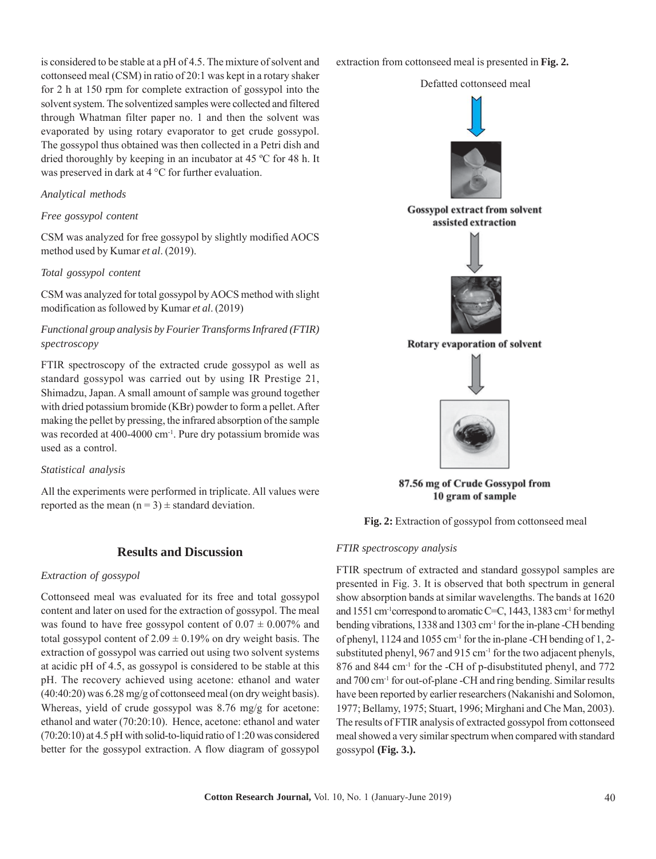is considered to be stable at a pH of 4.5. The mixture of solvent and cottonseed meal (CSM) in ratio of 20:1 was kept in a rotary shaker for 2 h at 150 rpm for complete extraction of gossypol into the solvent system. The solventized samples were collected and filtered through Whatman filter paper no. 1 and then the solvent was evaporated by using rotary evaporator to get crude gossypol. The gossypol thus obtained was then collected in a Petri dish and dried thoroughly by keeping in an incubator at 45 ºC for 48 h. It was preserved in dark at 4 °C for further evaluation.

### *Analytical methods*

#### *Free gossypol content*

CSM was analyzed for free gossypol by slightly modified AOCS method used by Kumar *et al*. (2019).

#### *Total gossypol content*

CSM was analyzed for total gossypol by AOCS method with slight modification as followed by Kumar *et al*. (2019)

# *Functional group analysis by Fourier Transforms Infrared (FTIR) spectroscopy*

FTIR spectroscopy of the extracted crude gossypol as well as standard gossypol was carried out by using IR Prestige 21, Shimadzu, Japan. A small amount of sample was ground together with dried potassium bromide (KBr) powder to form a pellet. After making the pellet by pressing, the infrared absorption of the sample was recorded at 400-4000 cm<sup>-1</sup>. Pure dry potassium bromide was used as a control.

#### *Statistical analysis*

All the experiments were performed in triplicate. All values were reported as the mean  $(n = 3) \pm$  standard deviation.

### **Results and Discussion**

#### *Extraction of gossypol*

Cottonseed meal was evaluated for its free and total gossypol content and later on used for the extraction of gossypol. The meal was found to have free gossypol content of  $0.07 \pm 0.007\%$  and total gossypol content of  $2.09 \pm 0.19\%$  on dry weight basis. The extraction of gossypol was carried out using two solvent systems at acidic pH of 4.5, as gossypol is considered to be stable at this pH. The recovery achieved using acetone: ethanol and water (40:40:20) was 6.28 mg/g of cottonseed meal (on dry weight basis). Whereas, yield of crude gossypol was 8.76 mg/g for acetone: ethanol and water (70:20:10). Hence, acetone: ethanol and water (70:20:10) at 4.5 pH with solid-to-liquid ratio of 1:20 was considered better for the gossypol extraction. A flow diagram of gossypol extraction from cottonseed meal is presented in **Fig. 2.**

Defatted cottonseed meal



87.56 mg of Crude Gossypol from 10 gram of sample

**Fig. 2:** Extraction of gossypol from cottonseed meal

#### *FTIR spectroscopy analysis*

FTIR spectrum of extracted and standard gossypol samples are presented in Fig. 3. It is observed that both spectrum in general show absorption bands at similar wavelengths. The bands at 1620 and 1551 cm-1correspond to aromatic C=C, 1443, 1383 cm-1 for methyl bending vibrations, 1338 and 1303 cm-1 for the in-plane -CH bending of phenyl, 1124 and 1055 cm<sup>-1</sup> for the in-plane -CH bending of 1, 2substituted phenyl, 967 and 915 cm<sup>-1</sup> for the two adjacent phenyls, 876 and 844 cm<sup>-1</sup> for the -CH of p-disubstituted phenyl, and 772 and 700 cm-1 for out-of-plane -CH and ring bending. Similar results have been reported by earlier researchers (Nakanishi and Solomon, 1977; Bellamy, 1975; Stuart, 1996; Mirghani and Che Man, 2003). The results of FTIR analysis of extracted gossypol from cottonseed meal showed a very similar spectrum when compared with standard gossypol **(Fig. 3.).**